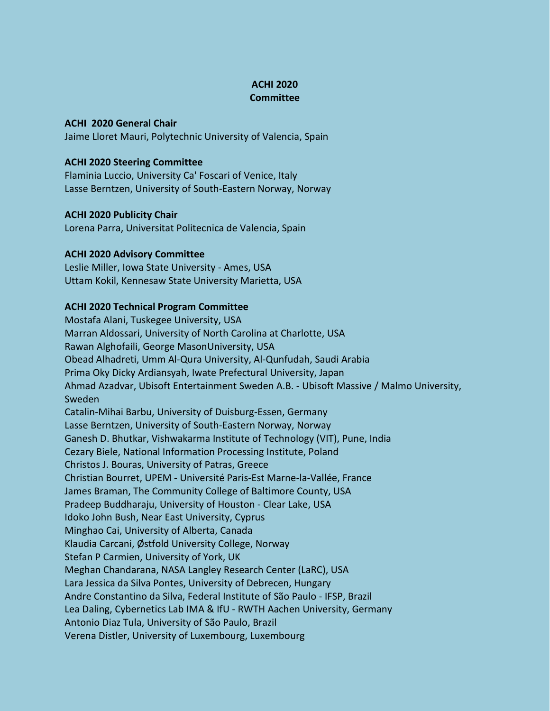# **ACHI 2020 Committee**

### **ACHI 2020 General Chair**

Jaime Lloret Mauri, Polytechnic University of Valencia, Spain

## **ACHI 2020 Steering Committee**

Flaminia Luccio, University Ca' Foscari of Venice, Italy Lasse Berntzen, University of South-Eastern Norway, Norway

### **ACHI 2020 Publicity Chair**

Lorena Parra, Universitat Politecnica de Valencia, Spain

## **ACHI 2020 Advisory Committee**

Leslie Miller, Iowa State University - Ames, USA Uttam Kokil, Kennesaw State University Marietta, USA

## **ACHI 2020 Technical Program Committee**

Mostafa Alani, Tuskegee University, USA Marran Aldossari, University of North Carolina at Charlotte, USA Rawan Alghofaili, George MasonUniversity, USA Obead Alhadreti, Umm Al-Qura University, Al-Qunfudah, Saudi Arabia Prima Oky Dicky Ardiansyah, Iwate Prefectural University, Japan Ahmad Azadvar, Ubisoft Entertainment Sweden A.B. - Ubisoft Massive / Malmo University, Sweden Catalin-Mihai Barbu, University of Duisburg-Essen, Germany Lasse Berntzen, University of South-Eastern Norway, Norway Ganesh D. Bhutkar, Vishwakarma Institute of Technology (VIT), Pune, India Cezary Biele, National Information Processing Institute, Poland Christos J. Bouras, University of Patras, Greece Christian Bourret, UPEM - Université Paris-Est Marne-la-Vallée, France James Braman, The Community College of Baltimore County, USA Pradeep Buddharaju, University of Houston - Clear Lake, USA Idoko John Bush, Near East University, Cyprus Minghao Cai, University of Alberta, Canada Klaudia Carcani, Østfold University College, Norway Stefan P Carmien, University of York, UK Meghan Chandarana, NASA Langley Research Center (LaRC), USA Lara Jessica da Silva Pontes, University of Debrecen, Hungary Andre Constantino da Silva, Federal Institute of São Paulo - IFSP, Brazil Lea Daling, Cybernetics Lab IMA & IfU - RWTH Aachen University, Germany Antonio Diaz Tula, University of São Paulo, Brazil Verena Distler, University of Luxembourg, Luxembourg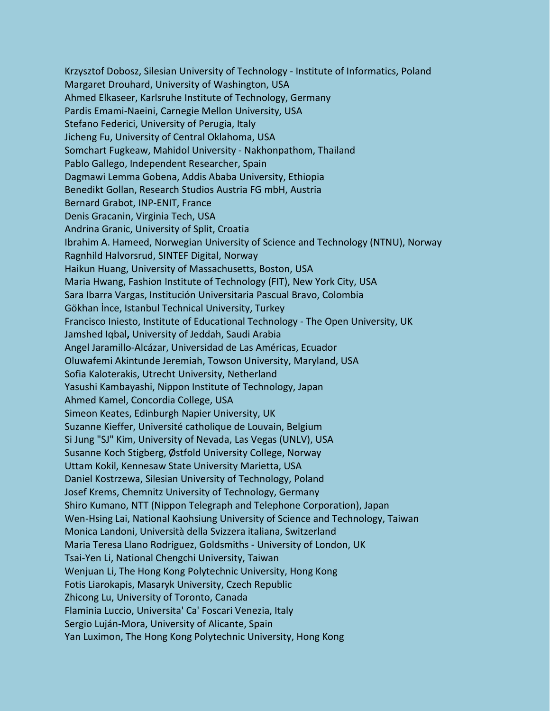Krzysztof Dobosz, Silesian University of Technology - Institute of Informatics, Poland Margaret Drouhard, University of Washington, USA Ahmed Elkaseer, Karlsruhe Institute of Technology, Germany Pardis Emami-Naeini, Carnegie Mellon University, USA Stefano Federici, University of Perugia, Italy Jicheng Fu, University of Central Oklahoma, USA Somchart Fugkeaw, Mahidol University - Nakhonpathom, Thailand Pablo Gallego, Independent Researcher, Spain Dagmawi Lemma Gobena, Addis Ababa University, Ethiopia Benedikt Gollan, Research Studios Austria FG mbH, Austria Bernard Grabot, INP-ENIT, France Denis Gracanin, Virginia Tech, USA Andrina Granic, University of Split, Croatia Ibrahim A. Hameed, Norwegian University of Science and Technology (NTNU), Norway Ragnhild Halvorsrud, SINTEF Digital, Norway Haikun Huang, University of Massachusetts, Boston, USA Maria Hwang, Fashion Institute of Technology (FIT), New York City, USA Sara Ibarra Vargas, Institución Universitaria Pascual Bravo, Colombia Gökhan İnce, Istanbul Technical University, Turkey Francisco Iniesto, Institute of Educational Technology - The Open University, UK Jamshed Iqbal**,** University of Jeddah, Saudi Arabia Angel Jaramillo-Alcázar, Universidad de Las Américas, Ecuador Oluwafemi Akintunde Jeremiah, Towson University, Maryland, USA Sofia Kaloterakis, Utrecht University, Netherland Yasushi Kambayashi, Nippon Institute of Technology, Japan Ahmed Kamel, Concordia College, USA Simeon Keates, Edinburgh Napier University, UK Suzanne Kieffer, Université catholique de Louvain, Belgium Si Jung "SJ" Kim, University of Nevada, Las Vegas (UNLV), USA Susanne Koch Stigberg, Østfold University College, Norway Uttam Kokil, Kennesaw State University Marietta, USA Daniel Kostrzewa, Silesian University of Technology, Poland Josef Krems, Chemnitz University of Technology, Germany Shiro Kumano, NTT (Nippon Telegraph and Telephone Corporation), Japan Wen-Hsing Lai, National Kaohsiung University of Science and Technology, Taiwan Monica Landoni, Università della Svizzera italiana, Switzerland Maria Teresa Llano Rodriguez, Goldsmiths - University of London, UK Tsai-Yen Li, National Chengchi University, Taiwan Wenjuan Li, The Hong Kong Polytechnic University, Hong Kong Fotis Liarokapis, Masaryk University, Czech Republic Zhicong Lu, University of Toronto, Canada Flaminia Luccio, Universita' Ca' Foscari Venezia, Italy Sergio Luján-Mora, University of Alicante, Spain Yan Luximon, The Hong Kong Polytechnic University, Hong Kong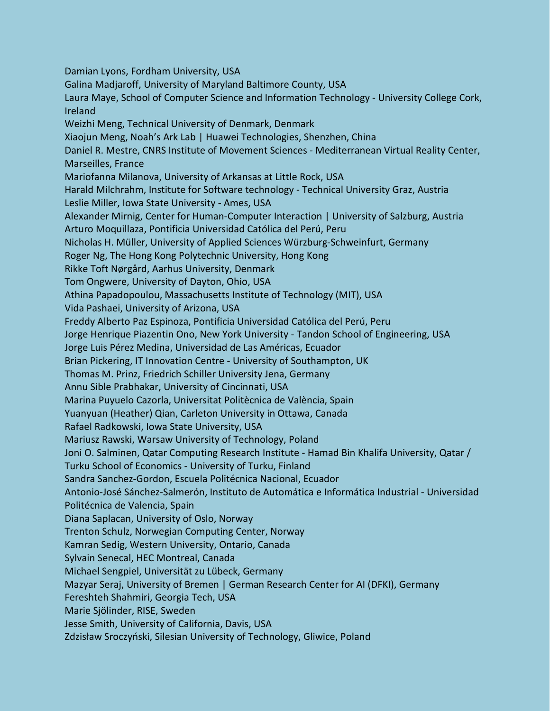Damian Lyons, Fordham University, USA Galina Madjaroff, University of Maryland Baltimore County, USA Laura Maye, School of Computer Science and Information Technology - University College Cork, Ireland Weizhi Meng, Technical University of Denmark, Denmark Xiaojun Meng, Noah's Ark Lab | Huawei Technologies, Shenzhen, China Daniel R. Mestre, CNRS Institute of Movement Sciences - Mediterranean Virtual Reality Center, Marseilles, France Mariofanna Milanova, University of Arkansas at Little Rock, USA Harald Milchrahm, Institute for Software technology - Technical University Graz, Austria Leslie Miller, Iowa State University - Ames, USA Alexander Mirnig, Center for Human-Computer Interaction | University of Salzburg, Austria Arturo Moquillaza, Pontificia Universidad Católica del Perú, Peru Nicholas H. Müller, University of Applied Sciences Würzburg-Schweinfurt, Germany Roger Ng, The Hong Kong Polytechnic University, Hong Kong Rikke Toft Nørgård, Aarhus University, Denmark Tom Ongwere, University of Dayton, Ohio, USA Athina Papadopoulou, Massachusetts Institute of Technology (MIT), USA Vida Pashaei, University of Arizona, USA Freddy Alberto Paz Espinoza, Pontificia Universidad Católica del Perú, Peru Jorge Henrique Piazentin Ono, New York University - Tandon School of Engineering, USA Jorge Luis Pérez Medina, Universidad de Las Américas, Ecuador Brian Pickering, IT Innovation Centre - University of Southampton, UK Thomas M. Prinz, Friedrich Schiller University Jena, Germany Annu Sible Prabhakar, University of Cincinnati, USA Marina Puyuelo Cazorla, Universitat Politècnica de València, Spain Yuanyuan (Heather) Qian, Carleton University in Ottawa, Canada Rafael Radkowski, Iowa State University, USA Mariusz Rawski, Warsaw University of Technology, Poland Joni O. Salminen, Qatar Computing Research Institute - Hamad Bin Khalifa University, Qatar / Turku School of Economics - University of Turku, Finland Sandra Sanchez-Gordon, Escuela Politécnica Nacional, Ecuador Antonio-José Sánchez-Salmerón, Instituto de Automática e Informática Industrial - Universidad Politécnica de Valencia, Spain Diana Saplacan, University of Oslo, Norway Trenton Schulz, Norwegian Computing Center, Norway Kamran Sedig, Western University, Ontario, Canada Sylvain Senecal, HEC Montreal, Canada Michael Sengpiel, Universität zu Lübeck, Germany Mazyar Seraj, University of Bremen | German Research Center for AI (DFKI), Germany Fereshteh Shahmiri, Georgia Tech, USA Marie Sjölinder, RISE, Sweden Jesse Smith, University of California, Davis, USA Zdzisław Sroczyński, Silesian University of Technology, Gliwice, Poland